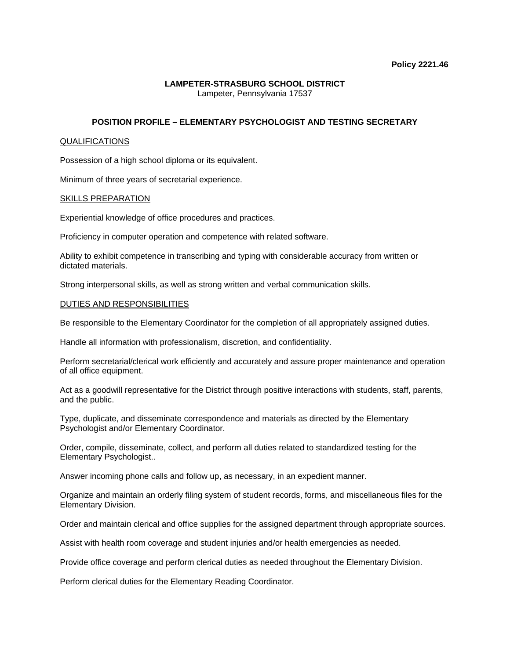### **LAMPETER-STRASBURG SCHOOL DISTRICT**  Lampeter, Pennsylvania 17537

# **POSITION PROFILE – ELEMENTARY PSYCHOLOGIST AND TESTING SECRETARY**

## QUALIFICATIONS

Possession of a high school diploma or its equivalent.

Minimum of three years of secretarial experience.

### SKILLS PREPARATION

Experiential knowledge of office procedures and practices.

Proficiency in computer operation and competence with related software.

Ability to exhibit competence in transcribing and typing with considerable accuracy from written or dictated materials.

Strong interpersonal skills, as well as strong written and verbal communication skills.

### DUTIES AND RESPONSIBILITIES

Be responsible to the Elementary Coordinator for the completion of all appropriately assigned duties.

Handle all information with professionalism, discretion, and confidentiality.

Perform secretarial/clerical work efficiently and accurately and assure proper maintenance and operation of all office equipment.

Act as a goodwill representative for the District through positive interactions with students, staff, parents, and the public.

Type, duplicate, and disseminate correspondence and materials as directed by the Elementary Psychologist and/or Elementary Coordinator.

Order, compile, disseminate, collect, and perform all duties related to standardized testing for the Elementary Psychologist..

Answer incoming phone calls and follow up, as necessary, in an expedient manner.

Organize and maintain an orderly filing system of student records, forms, and miscellaneous files for the Elementary Division.

Order and maintain clerical and office supplies for the assigned department through appropriate sources.

Assist with health room coverage and student injuries and/or health emergencies as needed.

Provide office coverage and perform clerical duties as needed throughout the Elementary Division.

Perform clerical duties for the Elementary Reading Coordinator.